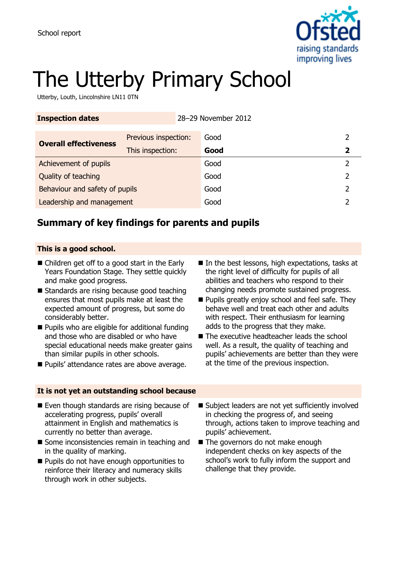

# The Utterby Primary School

Utterby, Louth, Lincolnshire LN11 0TN

| <b>Inspection dates</b>        |                      | 28-29 November 2012 |      |  |
|--------------------------------|----------------------|---------------------|------|--|
| <b>Overall effectiveness</b>   | Previous inspection: |                     | Good |  |
|                                | This inspection:     |                     | Good |  |
| Achievement of pupils          |                      |                     | Good |  |
| Quality of teaching            |                      |                     | Good |  |
| Behaviour and safety of pupils |                      |                     | Good |  |
| Leadership and management      |                      |                     | Good |  |

# **Summary of key findings for parents and pupils**

#### **This is a good school.**

- Children get off to a good start in the Early Years Foundation Stage. They settle quickly and make good progress.
- Standards are rising because good teaching ensures that most pupils make at least the expected amount of progress, but some do considerably better.
- **Pupils who are eligible for additional funding** and those who are disabled or who have special educational needs make greater gains than similar pupils in other schools.
- Pupils' attendance rates are above average.

#### **It is not yet an outstanding school because**

- Even though standards are rising because of accelerating progress, pupils' overall attainment in English and mathematics is currently no better than average.
- Some inconsistencies remain in teaching and in the quality of marking.
- **Pupils do not have enough opportunities to** reinforce their literacy and numeracy skills through work in other subjects.
- In the best lessons, high expectations, tasks at the right level of difficulty for pupils of all abilities and teachers who respond to their changing needs promote sustained progress.
- **Pupils greatly enjoy school and feel safe. They** behave well and treat each other and adults with respect. Their enthusiasm for learning adds to the progress that they make.
- The executive headteacher leads the school well. As a result, the quality of teaching and pupils' achievements are better than they were at the time of the previous inspection.
- Subject leaders are not vet sufficiently involved in checking the progress of, and seeing through, actions taken to improve teaching and pupils' achievement.
- The governors do not make enough independent checks on key aspects of the school's work to fully inform the support and challenge that they provide.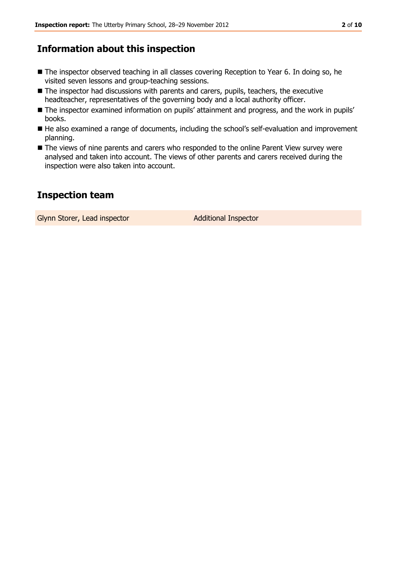#### **Information about this inspection**

- The inspector observed teaching in all classes covering Reception to Year 6. In doing so, he visited seven lessons and group-teaching sessions.
- The inspector had discussions with parents and carers, pupils, teachers, the executive headteacher, representatives of the governing body and a local authority officer.
- The inspector examined information on pupils' attainment and progress, and the work in pupils' books.
- He also examined a range of documents, including the school's self-evaluation and improvement planning.
- The views of nine parents and carers who responded to the online Parent View survey were analysed and taken into account. The views of other parents and carers received during the inspection were also taken into account.

#### **Inspection team**

Glynn Storer, Lead inspector **Additional Inspector** Additional Inspector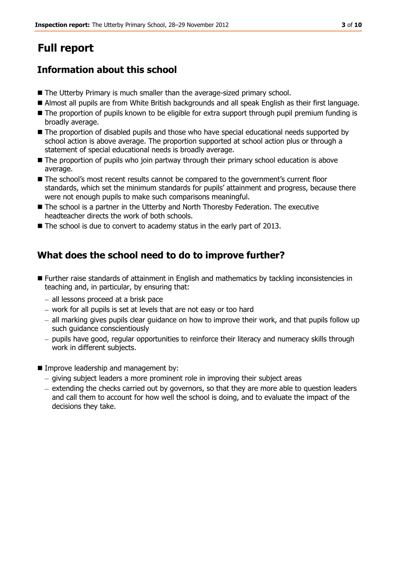# **Full report**

# **Information about this school**

- The Utterby Primary is much smaller than the average-sized primary school.
- Almost all pupils are from White British backgrounds and all speak English as their first language.
- $\blacksquare$  The proportion of pupils known to be eligible for extra support through pupil premium funding is broadly average.
- $\blacksquare$  The proportion of disabled pupils and those who have special educational needs supported by school action is above average. The proportion supported at school action plus or through a statement of special educational needs is broadly average.
- **The proportion of pupils who join partway through their primary school education is above** average.
- The school's most recent results cannot be compared to the government's current floor standards, which set the minimum standards for pupils' attainment and progress, because there were not enough pupils to make such comparisons meaningful.
- The school is a partner in the Utterby and North Thoresby Federation. The executive headteacher directs the work of both schools.
- $\blacksquare$  The school is due to convert to academy status in the early part of 2013.

## **What does the school need to do to improve further?**

- Further raise standards of attainment in English and mathematics by tackling inconsistencies in teaching and, in particular, by ensuring that:
	- all lessons proceed at a brisk pace
	- work for all pupils is set at levels that are not easy or too hard
	- all marking gives pupils clear guidance on how to improve their work, and that pupils follow up such guidance conscientiously
	- pupils have good, regular opportunities to reinforce their literacy and numeracy skills through work in different subjects.
- **Improve leadership and management by:** 
	- giving subject leaders a more prominent role in improving their subject areas
	- $-$  extending the checks carried out by governors, so that they are more able to question leaders and call them to account for how well the school is doing, and to evaluate the impact of the decisions they take.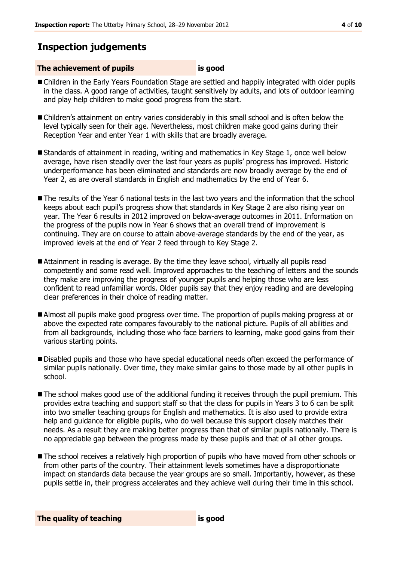## **Inspection judgements**

#### **The achievement of pupils is good**

- Children in the Early Years Foundation Stage are settled and happily integrated with older pupils in the class. A good range of activities, taught sensitively by adults, and lots of outdoor learning and play help children to make good progress from the start.
- Children's attainment on entry varies considerably in this small school and is often below the level typically seen for their age. Nevertheless, most children make good gains during their Reception Year and enter Year 1 with skills that are broadly average.
- Standards of attainment in reading, writing and mathematics in Key Stage 1, once well below average, have risen steadily over the last four years as pupils' progress has improved. Historic underperformance has been eliminated and standards are now broadly average by the end of Year 2, as are overall standards in English and mathematics by the end of Year 6.
- The results of the Year 6 national tests in the last two years and the information that the school keeps about each pupil's progress show that standards in Key Stage 2 are also rising year on year. The Year 6 results in 2012 improved on below-average outcomes in 2011. Information on the progress of the pupils now in Year 6 shows that an overall trend of improvement is continuing. They are on course to attain above-average standards by the end of the year, as improved levels at the end of Year 2 feed through to Key Stage 2.
- Attainment in reading is average. By the time they leave school, virtually all pupils read competently and some read well. Improved approaches to the teaching of letters and the sounds they make are improving the progress of younger pupils and helping those who are less confident to read unfamiliar words. Older pupils say that they enjoy reading and are developing clear preferences in their choice of reading matter.
- Almost all pupils make good progress over time. The proportion of pupils making progress at or above the expected rate compares favourably to the national picture. Pupils of all abilities and from all backgrounds, including those who face barriers to learning, make good gains from their various starting points.
- Disabled pupils and those who have special educational needs often exceed the performance of similar pupils nationally. Over time, they make similar gains to those made by all other pupils in school.
- The school makes good use of the additional funding it receives through the pupil premium. This provides extra teaching and support staff so that the class for pupils in Years 3 to 6 can be split into two smaller teaching groups for English and mathematics. It is also used to provide extra help and guidance for eligible pupils, who do well because this support closely matches their needs. As a result they are making better progress than that of similar pupils nationally. There is no appreciable gap between the progress made by these pupils and that of all other groups.
- The school receives a relatively high proportion of pupils who have moved from other schools or from other parts of the country. Their attainment levels sometimes have a disproportionate impact on standards data because the year groups are so small. Importantly, however, as these pupils settle in, their progress accelerates and they achieve well during their time in this school.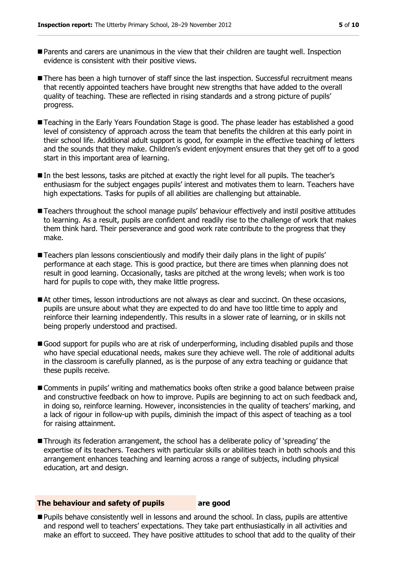- Parents and carers are unanimous in the view that their children are taught well. Inspection evidence is consistent with their positive views.
- There has been a high turnover of staff since the last inspection. Successful recruitment means that recently appointed teachers have brought new strengths that have added to the overall quality of teaching. These are reflected in rising standards and a strong picture of pupils' progress.
- Teaching in the Early Years Foundation Stage is good. The phase leader has established a good level of consistency of approach across the team that benefits the children at this early point in their school life. Additional adult support is good, for example in the effective teaching of letters and the sounds that they make. Children's evident enjoyment ensures that they get off to a good start in this important area of learning.
- In the best lessons, tasks are pitched at exactly the right level for all pupils. The teacher's enthusiasm for the subject engages pupils' interest and motivates them to learn. Teachers have high expectations. Tasks for pupils of all abilities are challenging but attainable.
- **Teachers throughout the school manage pupils' behaviour effectively and instil positive attitudes** to learning. As a result, pupils are confident and readily rise to the challenge of work that makes them think hard. Their perseverance and good work rate contribute to the progress that they make.
- Teachers plan lessons conscientiously and modify their daily plans in the light of pupils' performance at each stage. This is good practice, but there are times when planning does not result in good learning. Occasionally, tasks are pitched at the wrong levels; when work is too hard for pupils to cope with, they make little progress.
- At other times, lesson introductions are not always as clear and succinct. On these occasions, pupils are unsure about what they are expected to do and have too little time to apply and reinforce their learning independently. This results in a slower rate of learning, or in skills not being properly understood and practised.
- Good support for pupils who are at risk of underperforming, including disabled pupils and those who have special educational needs, makes sure they achieve well. The role of additional adults in the classroom is carefully planned, as is the purpose of any extra teaching or guidance that these pupils receive.
- Comments in pupils' writing and mathematics books often strike a good balance between praise and constructive feedback on how to improve. Pupils are beginning to act on such feedback and, in doing so, reinforce learning. However, inconsistencies in the quality of teachers' marking, and a lack of rigour in follow-up with pupils, diminish the impact of this aspect of teaching as a tool for raising attainment.
- Through its federation arrangement, the school has a deliberate policy of 'spreading' the expertise of its teachers. Teachers with particular skills or abilities teach in both schools and this arrangement enhances teaching and learning across a range of subjects, including physical education, art and design.

#### **The behaviour and safety of pupils are good**

**Pupils behave consistently well in lessons and around the school. In class, pupils are attentive** and respond well to teachers' expectations. They take part enthusiastically in all activities and make an effort to succeed. They have positive attitudes to school that add to the quality of their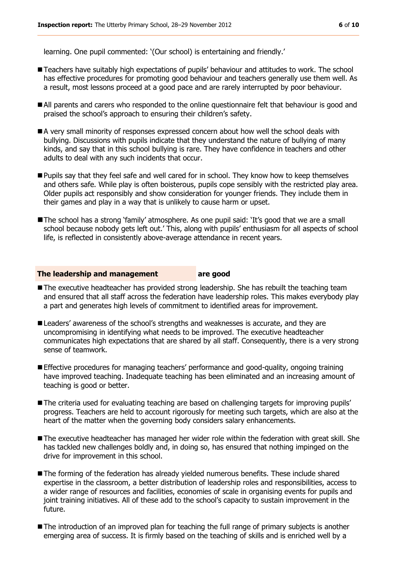learning. One pupil commented: '(Our school) is entertaining and friendly.'

- Teachers have suitably high expectations of pupils' behaviour and attitudes to work. The school has effective procedures for promoting good behaviour and teachers generally use them well. As a result, most lessons proceed at a good pace and are rarely interrupted by poor behaviour.
- All parents and carers who responded to the online questionnaire felt that behaviour is good and praised the school's approach to ensuring their children's safety.
- A very small minority of responses expressed concern about how well the school deals with bullying. Discussions with pupils indicate that they understand the nature of bullying of many kinds, and say that in this school bullying is rare. They have confidence in teachers and other adults to deal with any such incidents that occur.
- **Pupils say that they feel safe and well cared for in school. They know how to keep themselves** and others safe. While play is often boisterous, pupils cope sensibly with the restricted play area. Older pupils act responsibly and show consideration for younger friends. They include them in their games and play in a way that is unlikely to cause harm or upset.
- **The school has a strong 'family' atmosphere. As one pupil said: 'It's good that we are a small** school because nobody gets left out.' This, along with pupils' enthusiasm for all aspects of school life, is reflected in consistently above-average attendance in recent years.

#### **The leadership and management are good**

- The executive headteacher has provided strong leadership. She has rebuilt the teaching team and ensured that all staff across the federation have leadership roles. This makes everybody play a part and generates high levels of commitment to identified areas for improvement.
- **Leaders' awareness of the school's strengths and weaknesses is accurate, and they are** uncompromising in identifying what needs to be improved. The executive headteacher communicates high expectations that are shared by all staff. Consequently, there is a very strong sense of teamwork.
- **Effective procedures for managing teachers' performance and good-quality, ongoing training** have improved teaching. Inadequate teaching has been eliminated and an increasing amount of teaching is good or better.
- The criteria used for evaluating teaching are based on challenging targets for improving pupils' progress. Teachers are held to account rigorously for meeting such targets, which are also at the heart of the matter when the governing body considers salary enhancements.
- The executive headteacher has managed her wider role within the federation with great skill. She has tackled new challenges boldly and, in doing so, has ensured that nothing impinged on the drive for improvement in this school.
- The forming of the federation has already yielded numerous benefits. These include shared expertise in the classroom, a better distribution of leadership roles and responsibilities, access to a wider range of resources and facilities, economies of scale in organising events for pupils and joint training initiatives. All of these add to the school's capacity to sustain improvement in the future.
- **The introduction of an improved plan for teaching the full range of primary subjects is another** emerging area of success. It is firmly based on the teaching of skills and is enriched well by a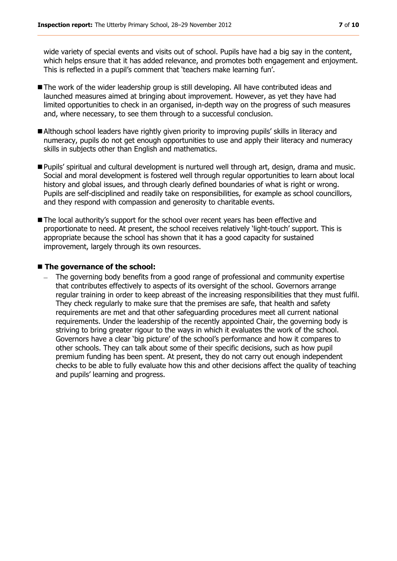wide variety of special events and visits out of school. Pupils have had a big say in the content, which helps ensure that it has added relevance, and promotes both engagement and enjoyment. This is reflected in a pupil's comment that 'teachers make learning fun'.

- The work of the wider leadership group is still developing. All have contributed ideas and launched measures aimed at bringing about improvement. However, as yet they have had limited opportunities to check in an organised, in-depth way on the progress of such measures and, where necessary, to see them through to a successful conclusion.
- Although school leaders have rightly given priority to improving pupils' skills in literacy and numeracy, pupils do not get enough opportunities to use and apply their literacy and numeracy skills in subjects other than English and mathematics.
- Pupils' spiritual and cultural development is nurtured well through art, design, drama and music. Social and moral development is fostered well through regular opportunities to learn about local history and global issues, and through clearly defined boundaries of what is right or wrong. Pupils are self-disciplined and readily take on responsibilities, for example as school councillors, and they respond with compassion and generosity to charitable events.
- The local authority's support for the school over recent years has been effective and proportionate to need. At present, the school receives relatively 'light-touch' support. This is appropriate because the school has shown that it has a good capacity for sustained improvement, largely through its own resources.

#### ■ The governance of the school:

The governing body benefits from a good range of professional and community expertise that contributes effectively to aspects of its oversight of the school. Governors arrange regular training in order to keep abreast of the increasing responsibilities that they must fulfil. They check regularly to make sure that the premises are safe, that health and safety requirements are met and that other safeguarding procedures meet all current national requirements. Under the leadership of the recently appointed Chair, the governing body is striving to bring greater rigour to the ways in which it evaluates the work of the school. Governors have a clear 'big picture' of the school's performance and how it compares to other schools. They can talk about some of their specific decisions, such as how pupil premium funding has been spent. At present, they do not carry out enough independent checks to be able to fully evaluate how this and other decisions affect the quality of teaching and pupils' learning and progress.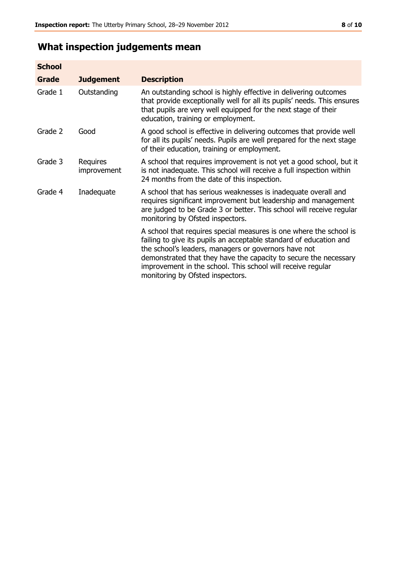# **What inspection judgements mean**

| <b>School</b> |                         |                                                                                                                                                                                                                                                                                                                                                                         |
|---------------|-------------------------|-------------------------------------------------------------------------------------------------------------------------------------------------------------------------------------------------------------------------------------------------------------------------------------------------------------------------------------------------------------------------|
| <b>Grade</b>  | <b>Judgement</b>        | <b>Description</b>                                                                                                                                                                                                                                                                                                                                                      |
| Grade 1       | Outstanding             | An outstanding school is highly effective in delivering outcomes<br>that provide exceptionally well for all its pupils' needs. This ensures<br>that pupils are very well equipped for the next stage of their<br>education, training or employment.                                                                                                                     |
| Grade 2       | Good                    | A good school is effective in delivering outcomes that provide well<br>for all its pupils' needs. Pupils are well prepared for the next stage<br>of their education, training or employment.                                                                                                                                                                            |
| Grade 3       | Requires<br>improvement | A school that requires improvement is not yet a good school, but it<br>is not inadequate. This school will receive a full inspection within<br>24 months from the date of this inspection.                                                                                                                                                                              |
| Grade 4       | Inadequate              | A school that has serious weaknesses is inadequate overall and<br>requires significant improvement but leadership and management<br>are judged to be Grade 3 or better. This school will receive regular<br>monitoring by Ofsted inspectors.                                                                                                                            |
|               |                         | A school that requires special measures is one where the school is<br>failing to give its pupils an acceptable standard of education and<br>the school's leaders, managers or governors have not<br>demonstrated that they have the capacity to secure the necessary<br>improvement in the school. This school will receive regular<br>monitoring by Ofsted inspectors. |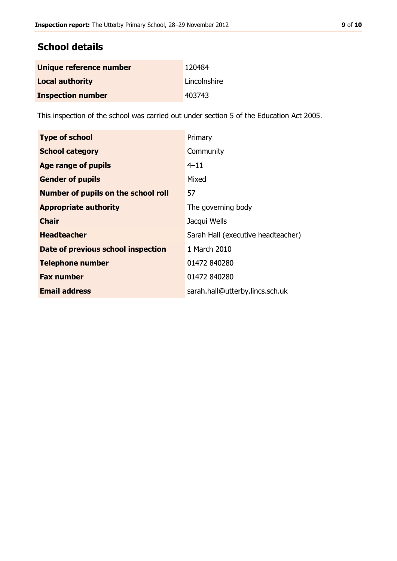# **School details**

| Unique reference number  | 120484       |
|--------------------------|--------------|
| <b>Local authority</b>   | Lincolnshire |
| <b>Inspection number</b> | 403743       |

This inspection of the school was carried out under section 5 of the Education Act 2005.

| <b>Type of school</b>                      | Primary                            |
|--------------------------------------------|------------------------------------|
| <b>School category</b>                     | Community                          |
| Age range of pupils                        | $4 - 11$                           |
| <b>Gender of pupils</b>                    | Mixed                              |
| <b>Number of pupils on the school roll</b> | 57                                 |
| <b>Appropriate authority</b>               | The governing body                 |
| <b>Chair</b>                               | Jacqui Wells                       |
| <b>Headteacher</b>                         | Sarah Hall (executive headteacher) |
| Date of previous school inspection         | 1 March 2010                       |
| <b>Telephone number</b>                    | 01472 840280                       |
| <b>Fax number</b>                          | 01472 840280                       |
| <b>Email address</b>                       | sarah.hall@utterby.lincs.sch.uk    |